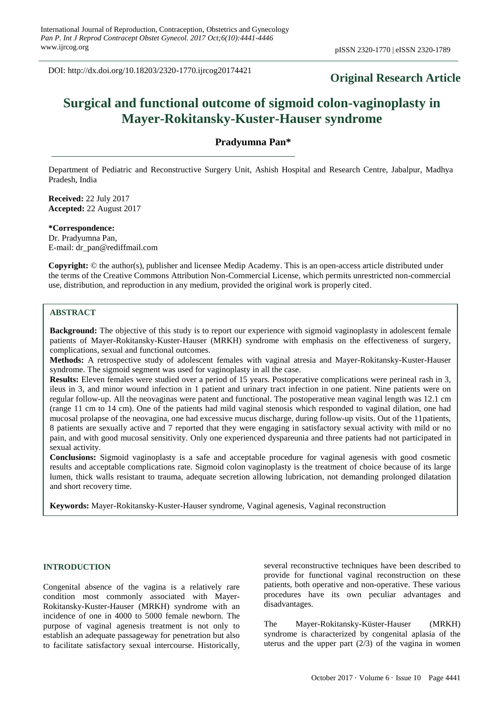DOI: http://dx.doi.org/10.18203/2320-1770.ijrcog20174421

# **Original Research Article**

# **Surgical and functional outcome of sigmoid colon-vaginoplasty in Mayer-Rokitansky-Kuster-Hauser syndrome**

**Pradyumna Pan\***

Department of Pediatric and Reconstructive Surgery Unit, Ashish Hospital and Research Centre, Jabalpur, Madhya Pradesh, India

**Received:** 22 July 2017 **Accepted:** 22 August 2017

**\*Correspondence:** Dr. Pradyumna Pan, E-mail: dr\_pan@rediffmail.com

**Copyright:** © the author(s), publisher and licensee Medip Academy. This is an open-access article distributed under the terms of the Creative Commons Attribution Non-Commercial License, which permits unrestricted non-commercial use, distribution, and reproduction in any medium, provided the original work is properly cited.

# **ABSTRACT**

**Background:** The objective of this study is to report our experience with sigmoid vaginoplasty in adolescent female patients of Mayer-Rokitansky-Kuster-Hauser (MRKH) syndrome with emphasis on the effectiveness of surgery, complications, sexual and functional outcomes.

**Methods:** A retrospective study of adolescent females with vaginal atresia and Mayer-Rokitansky-Kuster-Hauser syndrome. The sigmoid segment was used for vaginoplasty in all the case.

**Results:** Eleven females were studied over a period of 15 years. Postoperative complications were perineal rash in 3, ileus in 3, and minor wound infection in 1 patient and urinary tract infection in one patient. Nine patients were on regular follow-up. All the neovaginas were patent and functional. The postoperative mean vaginal length was 12.1 cm (range 11 cm to 14 cm). One of the patients had mild vaginal stenosis which responded to vaginal dilation, one had mucosal prolapse of the neovagina, one had excessive mucus discharge, during follow-up visits. Out of the 11patients, 8 patients are sexually active and 7 reported that they were engaging in satisfactory sexual activity with mild or no pain, and with good mucosal sensitivity. Only one experienced dyspareunia and three patients had not participated in sexual activity.

**Conclusions:** Sigmoid vaginoplasty is a safe and acceptable procedure for vaginal agenesis with good cosmetic results and acceptable complications rate. Sigmoid colon vaginoplasty is the treatment of choice because of its large lumen, thick walls resistant to trauma, adequate secretion allowing lubrication, not demanding prolonged dilatation and short recovery time.

**Keywords:** Mayer-Rokitansky-Kuster-Hauser syndrome, Vaginal agenesis, Vaginal reconstruction

#### **INTRODUCTION**

Congenital absence of the vagina is a relatively rare condition most commonly associated with Mayer-Rokitansky-Kuster-Hauser (MRKH) syndrome with an incidence of one in 4000 to 5000 female newborn. The purpose of vaginal agenesis treatment is not only to establish an adequate passageway for penetration but also to facilitate satisfactory sexual intercourse. Historically, several reconstructive techniques have been described to provide for functional vaginal reconstruction on these patients, both operative and non-operative. These various procedures have its own peculiar advantages and disadvantages.

The Mayer-Rokitansky-Küster-Hauser (MRKH) syndrome is characterized by congenital aplasia of the uterus and the upper part  $(2/3)$  of the vagina in women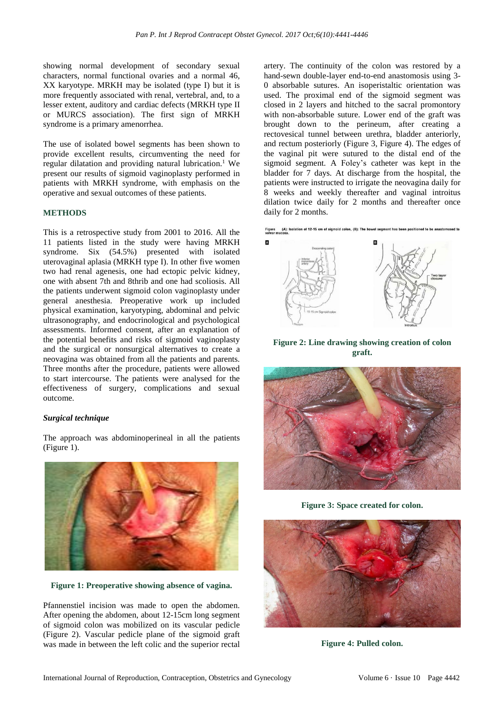showing normal development of secondary sexual characters, normal functional ovaries and a normal 46, XX karyotype. MRKH may be isolated (type I) but it is more frequently associated with renal, vertebral, and, to a lesser extent, auditory and cardiac defects (MRKH type II or MURCS association). The first sign of MRKH syndrome is a primary amenorrhea.

The use of isolated bowel segments has been shown to provide excellent results, circumventing the need for regular dilatation and providing natural lubrication.<sup>1</sup> We present our results of sigmoid vaginoplasty performed in patients with MRKH syndrome, with emphasis on the operative and sexual outcomes of these patients.

#### **METHODS**

This is a retrospective study from 2001 to 2016. All the 11 patients listed in the study were having MRKH syndrome. Six (54.5%) presented with isolated uterovaginal aplasia (MRKH type I). In other five women two had renal agenesis, one had ectopic pelvic kidney, one with absent 7th and 8thrib and one had scoliosis. All the patients underwent sigmoid colon vaginoplasty under general anesthesia. Preoperative work up included physical examination, karyotyping, abdominal and pelvic ultrasonography, and endocrinological and psychological assessments. Informed consent, after an explanation of the potential benefits and risks of sigmoid vaginoplasty and the surgical or nonsurgical alternatives to create a neovagina was obtained from all the patients and parents. Three months after the procedure, patients were allowed to start intercourse. The patients were analysed for the effectiveness of surgery, complications and sexual outcome.

#### *Surgical technique*

The approach was abdominoperineal in all the patients (Figure 1).



**Figure 1: Preoperative showing absence of vagina.**

Pfannenstiel incision was made to open the abdomen. After opening the abdomen, about 12-15cm long segment of sigmoid colon was mobilized on its vascular pedicle (Figure 2). Vascular pedicle plane of the sigmoid graft was made in between the left colic and the superior rectal artery. The continuity of the colon was restored by a hand-sewn double-layer end-to-end anastomosis using 3- 0 absorbable sutures. An isoperistaltic orientation was used. The proximal end of the sigmoid segment was closed in 2 layers and hitched to the sacral promontory with non-absorbable suture. Lower end of the graft was brought down to the perineum, after creating a rectovesical tunnel between urethra, bladder anteriorly, and rectum posteriorly (Figure 3, Figure 4). The edges of the vaginal pit were sutured to the distal end of the sigmoid segment. A Foley's catheter was kept in the bladder for 7 days. At discharge from the hospital, the patients were instructed to irrigate the neovagina daily for 8 weeks and weekly thereafter and vaginal introitus dilation twice daily for 2 months and thereafter once daily for 2 months.



**Figure 2: Line drawing showing creation of colon graft.**



**Figure 3: Space created for colon.**



**Figure 4: Pulled colon.**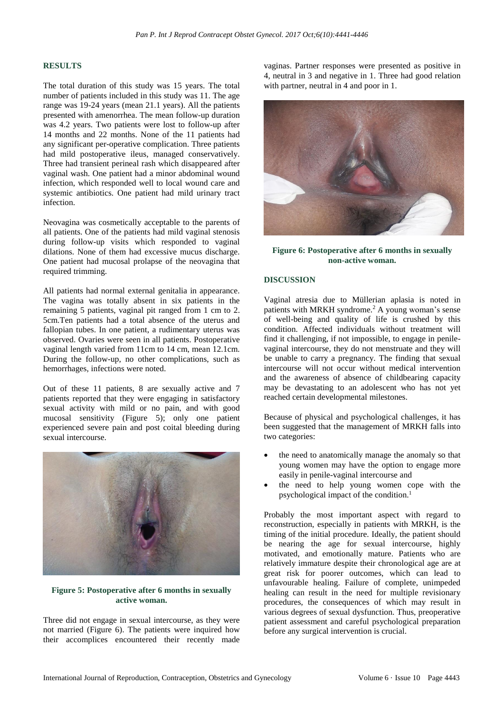#### **RESULTS**

The total duration of this study was 15 years. The total number of patients included in this study was 11. The age range was 19-24 years (mean 21.1 years). All the patients presented with amenorrhea. The mean follow-up duration was 4.2 years. Two patients were lost to follow-up after 14 months and 22 months. None of the 11 patients had any significant per-operative complication. Three patients had mild postoperative ileus, managed conservatively. Three had transient perineal rash which disappeared after vaginal wash. One patient had a minor abdominal wound infection, which responded well to local wound care and systemic antibiotics. One patient had mild urinary tract infection.

Neovagina was cosmetically acceptable to the parents of all patients. One of the patients had mild vaginal stenosis during follow-up visits which responded to vaginal dilations. None of them had excessive mucus discharge. One patient had mucosal prolapse of the neovagina that required trimming.

All patients had normal external genitalia in appearance. The vagina was totally absent in six patients in the remaining 5 patients, vaginal pit ranged from 1 cm to 2. 5cm.Ten patients had a total absence of the uterus and fallopian tubes. In one patient, a rudimentary uterus was observed. Ovaries were seen in all patients. Postoperative vaginal length varied from 11cm to 14 cm, mean 12.1cm. During the follow-up, no other complications, such as hemorrhages, infections were noted.

Out of these 11 patients, 8 are sexually active and 7 patients reported that they were engaging in satisfactory sexual activity with mild or no pain, and with good mucosal sensitivity (Figure 5); only one patient experienced severe pain and post coital bleeding during sexual intercourse.



#### **Figure 5: Postoperative after 6 months in sexually active woman.**

Three did not engage in sexual intercourse, as they were not married (Figure 6). The patients were inquired how their accomplices encountered their recently made vaginas. Partner responses were presented as positive in 4, neutral in 3 and negative in 1. Three had good relation with partner, neutral in 4 and poor in 1.



**Figure 6: Postoperative after 6 months in sexually non-active woman.**

#### **DISCUSSION**

Vaginal atresia due to Müllerian aplasia is noted in patients with MRKH syndrome.<sup>2</sup> A young woman's sense of well-being and quality of life is crushed by this condition. Affected individuals without treatment will find it challenging, if not impossible, to engage in penilevaginal intercourse, they do not menstruate and they will be unable to carry a pregnancy. The finding that sexual intercourse will not occur without medical intervention and the awareness of absence of childbearing capacity may be devastating to an adolescent who has not yet reached certain developmental milestones.

Because of physical and psychological challenges, it has been suggested that the management of MRKH falls into two categories:

- the need to anatomically manage the anomaly so that young women may have the option to engage more easily in penile-vaginal intercourse and
- the need to help young women cope with the psychological impact of the condition.<sup>1</sup>

Probably the most important aspect with regard to reconstruction, especially in patients with MRKH, is the timing of the initial procedure. Ideally, the patient should be nearing the age for sexual intercourse, highly motivated, and emotionally mature. Patients who are relatively immature despite their chronological age are at great risk for poorer outcomes, which can lead to unfavourable healing. Failure of complete, unimpeded healing can result in the need for multiple revisionary procedures, the consequences of which may result in various degrees of sexual dysfunction. Thus, preoperative patient assessment and careful psychological preparation before any surgical intervention is crucial.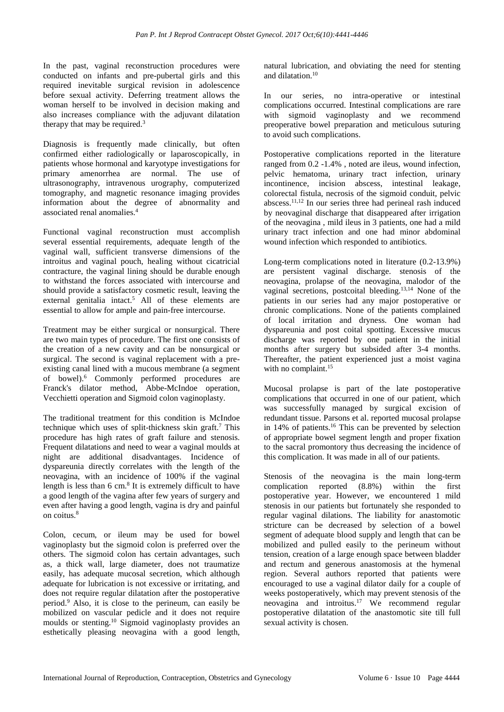In the past, vaginal reconstruction procedures were conducted on infants and pre-pubertal girls and this required inevitable surgical revision in adolescence before sexual activity. Deferring treatment allows the woman herself to be involved in decision making and also increases compliance with the adjuvant dilatation therapy that may be required.<sup>3</sup>

Diagnosis is frequently made clinically, but often confirmed either radiologically or laparoscopically, in patients whose hormonal and karyotype investigations for primary amenorrhea are normal. The use of ultrasonography, intravenous urography, computerized tomography, and magnetic resonance imaging provides information about the degree of abnormality and associated renal anomalies.<sup>4</sup>

Functional vaginal reconstruction must accomplish several essential requirements, adequate length of the vaginal wall, sufficient transverse dimensions of the introitus and vaginal pouch, healing without cicatricial contracture, the vaginal lining should be durable enough to withstand the forces associated with intercourse and should provide a satisfactory cosmetic result, leaving the external genitalia intact.<sup>5</sup> All of these elements are essential to allow for ample and pain-free intercourse.

Treatment may be either surgical or nonsurgical. There are two main types of procedure. The first one consists of the creation of a new cavity and can be nonsurgical or surgical. The second is vaginal replacement with a preexisting canal lined with a mucous membrane (a segment of bowel).<sup>6</sup> Commonly performed procedures are Franck's dilator method, Abbe-McIndoe operation, Vecchietti operation and Sigmoid colon vaginoplasty.

The traditional treatment for this condition is McIndoe technique which uses of split-thickness skin graft. <sup>7</sup> This procedure has high rates of graft failure and stenosis. Frequent dilatations and need to wear a vaginal moulds at night are additional disadvantages. Incidence of dyspareunia directly correlates with the length of the neovagina, with an incidence of 100% if the vaginal length is less than  $6 \text{ cm}$ .<sup>8</sup> It is extremely difficult to have a good length of the vagina after few years of surgery and even after having a good length, vagina is dry and painful on coitus.<sup>8</sup>

Colon, cecum, or ileum may be used for bowel vaginoplasty but the sigmoid colon is preferred over the others. The sigmoid colon has certain advantages, such as, a thick wall, large diameter, does not traumatize easily, has adequate mucosal secretion, which although adequate for lubrication is not excessive or irritating, and does not require regular dilatation after the postoperative period.<sup>9</sup> Also, it is close to the perineum, can easily be mobilized on vascular pedicle and it does not require moulds or stenting.<sup>10</sup> Sigmoid vaginoplasty provides an esthetically pleasing neovagina with a good length, natural lubrication, and obviating the need for stenting and dilatation. 10

In our series, no intra-operative or intestinal complications occurred. Intestinal complications are rare with sigmoid vaginoplasty and we recommend preoperative bowel preparation and meticulous suturing to avoid such complications.

Postoperative complications reported in the literature ranged from 0.2 -1.4% , noted are ileus, wound infection, pelvic hematoma, urinary tract infection, urinary incontinence, incision abscess, intestinal leakage, colorectal fistula, necrosis of the sigmoid conduit, pelvic abscess.11,12 In our series three had perineal rash induced by neovaginal discharge that disappeared after irrigation of the neovagina , mild ileus in 3 patients, one had a mild urinary tract infection and one had minor abdominal wound infection which responded to antibiotics.

Long-term complications noted in literature (0.2-13.9%) are persistent vaginal discharge. stenosis of the neovagina, prolapse of the neovagina, malodor of the vaginal secretions, postcoital bleeding. 13,14 None of the patients in our series had any major postoperative or chronic complications. None of the patients complained of local irritation and dryness. One woman had dyspareunia and post coital spotting. Excessive mucus discharge was reported by one patient in the initial months after surgery but subsided after 3-4 months. Thereafter, the patient experienced just a moist vagina with no complaint.<sup>15</sup>

Mucosal prolapse is part of the late postoperative complications that occurred in one of our patient, which was successfully managed by surgical excision of redundant tissue. Parsons et al. reported mucosal prolapse in 14% of patients.<sup>16</sup> This can be prevented by selection of appropriate bowel segment length and proper fixation to the sacral promontory thus decreasing the incidence of this complication. It was made in all of our patients.

Stenosis of the neovagina is the main long-term complication reported (8.8%) within the first postoperative year. However, we encountered 1 mild stenosis in our patients but fortunately she responded to regular vaginal dilations. The liability for anastomotic stricture can be decreased by selection of a bowel segment of adequate blood supply and length that can be mobilized and pulled easily to the perineum without tension, creation of a large enough space between bladder and rectum and generous anastomosis at the hymenal region. Several authors reported that patients were encouraged to use a vaginal dilator daily for a couple of weeks postoperatively, which may prevent stenosis of the neovagina and introitus.<sup>17</sup> We recommend regular postoperative dilatation of the anastomotic site till full sexual activity is chosen.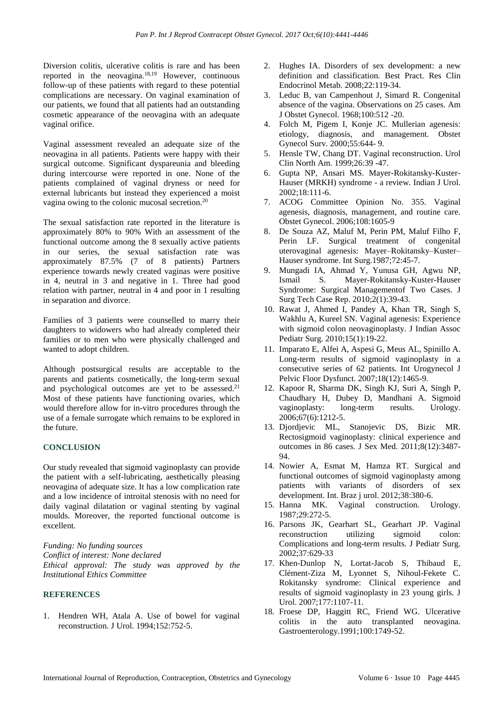Diversion colitis, ulcerative colitis is rare and has been reported in the neovagina.18,19 However, continuous follow-up of these patients with regard to these potential complications are necessary. On vaginal examination of our patients, we found that all patients had an outstanding cosmetic appearance of the neovagina with an adequate vaginal orifice.

Vaginal assessment revealed an adequate size of the neovagina in all patients. Patients were happy with their surgical outcome. Significant dyspareunia and bleeding during intercourse were reported in one. None of the patients complained of vaginal dryness or need for external lubricants but instead they experienced a moist vagina owing to the colonic mucosal secretion.<sup>20</sup>

The sexual satisfaction rate reported in the literature is approximately 80% to 90% With an assessment of the functional outcome among the 8 sexually active patients in our series, the sexual satisfaction rate was approximately 87.5% (7 of 8 patients) Partners experience towards newly created vaginas were positive in 4, neutral in 3 and negative in 1. Three had good relation with partner, neutral in 4 and poor in 1 resulting in separation and divorce.

Families of 3 patients were counselled to marry their daughters to widowers who had already completed their families or to men who were physically challenged and wanted to adopt children.

Although postsurgical results are acceptable to the parents and patients cosmetically, the long-term sexual and psychological outcomes are yet to be assessed.<sup>21</sup> Most of these patients have functioning ovaries, which would therefore allow for in-vitro procedures through the use of a female surrogate which remains to be explored in the future.

## **CONCLUSION**

Our study revealed that sigmoid vaginoplasty can provide the patient with a self-lubricating, aesthetically pleasing neovagina of adequate size. It has a low complication rate and a low incidence of introital stenosis with no need for daily vaginal dilatation or vaginal stenting by vaginal moulds. Moreover, the reported functional outcome is excellent.

*Funding: No funding sources Conflict of interest: None declared Ethical approval: The study was approved by the Institutional Ethics Committee*

## **REFERENCES**

1. Hendren WH, Atala A. Use of bowel for vaginal reconstruction. J Urol. 1994;152:752-5.

- 2. Hughes IA. Disorders of sex development: a new definition and classification. Best Pract. Res Clin Endocrinol Metab. 2008;22:119-34.
- 3. Leduc B, van Campenhout J, Simard R. Congenital absence of the vagina. Observations on 25 cases. Am J Obstet Gynecol. 1968;100:512 -20.
- 4. Folch M, Pigem I, Konje JC. Mullerian agenesis: etiology, diagnosis, and management. Obstet Gynecol Surv. 2000;55:644- 9.
- 5. Hensle TW, Chang DT. Vaginal reconstruction. Urol Clin North Am. 1999;26:39 -47.
- 6. Gupta NP, Ansari MS. Mayer-Rokitansky-Kuster-Hauser (MRKH) syndrome - a review. Indian J Urol. 2002;18:111-6.
- 7. ACOG Committee Opinion No. 355. Vaginal agenesis, diagnosis, management, and routine care. Obstet Gynecol. 2006;108:1605-9
- 8. De Souza AZ, Maluf M, Perin PM, Maluf Filho F, Perin LF. Surgical treatment of congenital uterovaginal agenesis: Mayer–Rokitansky–Kuster– Hauser syndrome. Int Surg.1987;72:45-7.
- 9. Mungadi IA, Ahmad Y, Yunusa GH, Agwu NP, Ismail S. Mayer-Rokitansky-Kuster-Hauser Syndrome: Surgical Managementof Two Cases. J Surg Tech Case Rep. 2010;2(1):39-43.
- 10. Rawat J, Ahmed I, Pandey A, Khan TR, Singh S, Wakhlu A, Kureel SN. Vaginal agenesis: Experience with sigmoid colon neovaginoplasty. J Indian Assoc Pediatr Surg. 2010;15(1):19-22.
- 11. Imparato E, Alfei A, Aspesi G, Meus AL, Spinillo A. Long-term results of sigmoid vaginoplasty in a consecutive series of 62 patients. Int Urogynecol J Pelvic Floor Dysfunct. 2007;18(12):1465-9.
- 12. Kapoor R, Sharma DK, Singh KJ, Suri A, Singh P, Chaudhary H, Dubey D, Mandhani A. Sigmoid vaginoplasty: long-term results. Urology. 2006;67(6):1212-5.
- 13. Djordjevic ML, Stanojevic DS, Bizic MR. Rectosigmoid vaginoplasty: clinical experience and outcomes in 86 cases. J Sex Med. 2011;8(12):3487- 94.
- 14. Nowier A, Esmat M, Hamza RT. Surgical and functional outcomes of sigmoid vaginoplasty among patients with variants of disorders of sex development. Int. Braz j urol. 2012;38:380-6.
- 15. Hanna MK. Vaginal construction. Urology. 1987;29:272-5.
- 16. Parsons JK, Gearhart SL, Gearhart JP. Vaginal reconstruction utilizing sigmoid colon: Complications and long-term results. J Pediatr Surg. 2002;37:629-33
- 17. Khen-Dunlop N, Lortat-Jacob S, Thibaud E, Clément-Ziza M, Lyonnet S, Nihoul-Fekete C. Rokitansky syndrome: Clinical experience and results of sigmoid vaginoplasty in 23 young girls. J Urol. 2007;177:1107-11.
- 18. Froese DP, Haggitt RC, Friend WG. Ulcerative colitis in the auto transplanted neovagina. Gastroenterology.1991;100:1749-52.